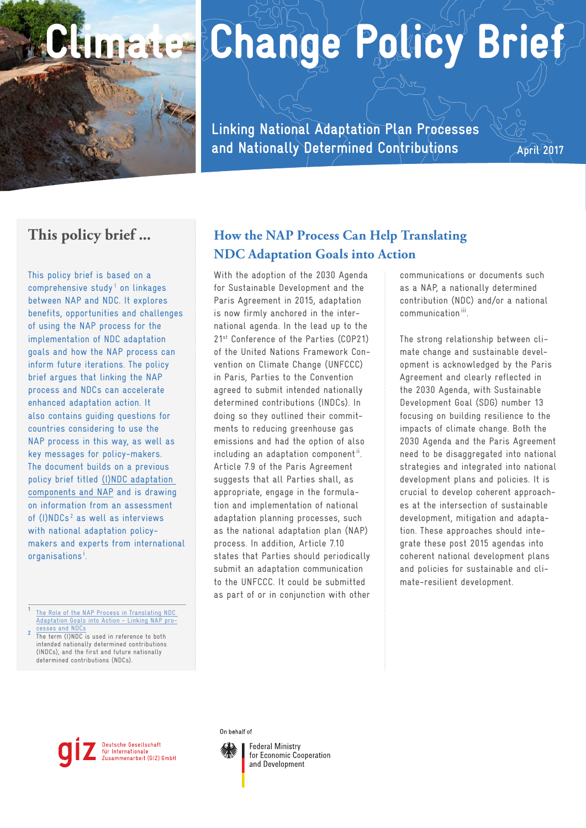

# Climate Change Policy Brief

**Linking National Adaptation Plan Processes and Nationally Determined Contributions**

**April 2017**

## **This policy brief ...**

This policy brief is based on a comprehensive study<sup>1</sup> on linkages between NAP and NDC. It explores benefits, opportunities and challenges of using the NAP process for the implementation of NDC adaptation goals and how the NAP process can inform future iterations. The policy brief argues that linking the NAP process and NDCs can accelerate enhanced adaptation action. It also contains guiding questions for countries considering to use the NAP process in this way, as well as key messages for policy-makers. The document builds on a previous policy brief titled [\(I\)NDC adaptation](http://www.adaptationcommunity.net/?wpfb_dl=356)  [components and NAP](http://www.adaptationcommunity.net/?wpfb_dl=356) and is drawing on information from an assessment of (I)NDCs<sup>2</sup> as well as interviews with national adaptation policymakers and experts from international organisations **<sup>i</sup>** .

**[1](http://ac.akryl.co/publications/?topic=nap-ndc)** [The Role of the NAP Process in Translating NDC](http://ac.akryl.co/publications/?topic=nap-ndc)  [Adaptation Goals into Action - Linking NAP pro-](http://ac.akryl.co/publications/?topic=nap-ndc)**EXECUTE 22 THE TERM OF THE TERM OF THE TERM (I)NDC** is used in reference to both

intended nationally determined contributions (INDCs), and the first and future nationally determined contributions (NDCs).

# **How the NAP Process Can Help Translating NDC Adaptation Goals into Action**

With the adoption of the 2030 Agenda for Sustainable Development and the Paris Agreement in 2015, adaptation is now firmly anchored in the international agenda. In the lead up to the 21<sup>st</sup> Conference of the Parties (COP21) of the United Nations Framework Convention on Climate Change (UNFCCC) in Paris, Parties to the Convention agreed to submit intended nationally determined contributions (INDCs). In doing so they outlined their commitments to reducing greenhouse gas emissions and had the option of also including an adaptation component**ii** . Article 7.9 of the Paris Agreement suggests that all Parties shall, as appropriate, engage in the formulation and implementation of national adaptation planning processes, such as the national adaptation plan (NAP) process. In addition, Article 7.10 states that Parties should periodically submit an adaptation communication to the UNFCCC. It could be submitted as part of or in conjunction with other

communications or documents such as a NAP, a nationally determined contribution (NDC) and/or a national communication **iii**.

The strong relationship between climate change and sustainable development is acknowledged by the Paris Agreement and clearly reflected in the 2030 Agenda, with Sustainable Development Goal (SDG) number 13 focusing on building resilience to the impacts of climate change. Both the 2030 Agenda and the Paris Agreement need to be disaggregated into national strategies and integrated into national development plans and policies. It is crucial to develop coherent approaches at the intersection of sustainable development, mitigation and adaptation. These approaches should integrate these post 2015 agendas into coherent national development plans and policies for sustainable and climate-resilient development.

#### Deutsche Gesellschaft für Internationale Zusammenarbeit (GIZ) GmbH

#### On behalf of

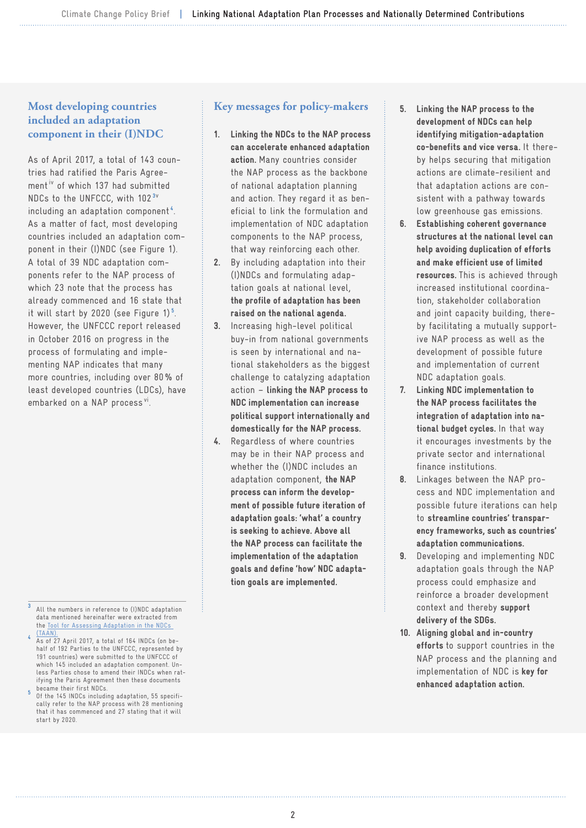## **Most developing countries included an adaptation component in their (I)NDC**

As of April 2017, a total of 143 countries had ratified the Paris Agreement**iv** of which 137 had submitted NDCs to the UNFCCC, with 102 **3v**  including an adaptation component **<sup>4</sup>** . As a matter of fact, most developing countries included an adaptation component in their (I)NDC (see Figure 1). A total of 39 NDC adaptation components refer to the NAP process of which 23 note that the process has already commenced and 16 state that it will start by 2020 (see Figure 1) **<sup>5</sup>** . However, the UNFCCC report released in October 2016 on progress in the process of formulating and implementing NAP indicates that many more countries, including over 80% of least developed countries (LDCs), have embarked on a NAP process **vi**.

### **Key messages for policy-makers**

- 1. Linking the NDCs to the NAP process can accelerate enhanced adaptation action. Many countries consider the NAP process as the backbone of national adaptation planning and action. They regard it as beneficial to link the formulation and implementation of NDC adaptation components to the NAP process, that way reinforcing each other.
- 2. By including adaptation into their (I)NDCs and formulating adaptation goals at national level, the profile of adaptation has been raised on the national agenda.
- 3. Increasing high-level political buy-in from national governments is seen by international and national stakeholders as the biggest challenge to catalyzing adaptation action – linking the NAP process to NDC implementation can increase political support internationally and domestically for the NAP process.
- 4. Regardless of where countries may be in their NAP process and whether the (I)NDC includes an adaptation component, the NAP process can inform the development of possible future iteration of adaptation goals: 'what' a country is seeking to achieve. Above all the NAP process can facilitate the implementation of the adaptation goals and define 'how' NDC adaptation goals are implemented.
- 5. Linking the NAP process to the development of NDCs can help identifying mitigation-adaptation co-benefits and vice versa. It thereby helps securing that mitigation actions are climate-resilient and that adaptation actions are consistent with a pathway towards low greenhouse gas emissions.
- 6. Establishing coherent governance structures at the national level can help avoiding duplication of efforts and make efficient use of limited resources. This is achieved through increased institutional coordination, stakeholder collaboration and joint capacity building, thereby facilitating a mutually supportive NAP process as well as the development of possible future and implementation of current NDC adaptation goals.
- 7. Linking NDC implementation to the NAP process facilitates the integration of adaptation into national budget cycles. In that way it encourages investments by the private sector and international finance institutions.
- 8. Linkages between the NAP process and NDC implementation and possible future iterations can help to streamline countries' transparency frameworks, such as countries' adaptation communications.
- 9. Developing and implementing NDC adaptation goals through the NAP process could emphasize and reinforce a broader development context and thereby support delivery of the SDGs.
- 10. Aligning global and in-country efforts to support countries in the NAP process and the planning and implementation of NDC is key for enhanced adaptation action.

**<sup>3</sup>** All the numbers in reference to (I)NDC adaptation data mentioned hereinafter were extracted from the [Tool for Assessing Adaptation in the NDCs](http://www.adaptationcommunity.net/nap-ndc/tool-assessing-adaptation-ndcs-taan) 

[<sup>\(</sup>TAAN\).](http://www.adaptationcommunity.net/nap-ndc/tool-assessing-adaptation-ndcs-taan) **<sup>4</sup>** As of 27 April 2017, a total of 164 INDCs (on behalf of 192 Parties to the UNFCCC, represented by 191 countries) were submitted to the UNFCCC of which 145 included an adaptation component. Unless Parties chose to amend their INDCs when ratifying the Paris Agreement then these documents

Of the 145 INDCs including adaptation, 55 specifically refer to the NAP process with 28 mentioning that it has commenced and 27 stating that it will start by 2020.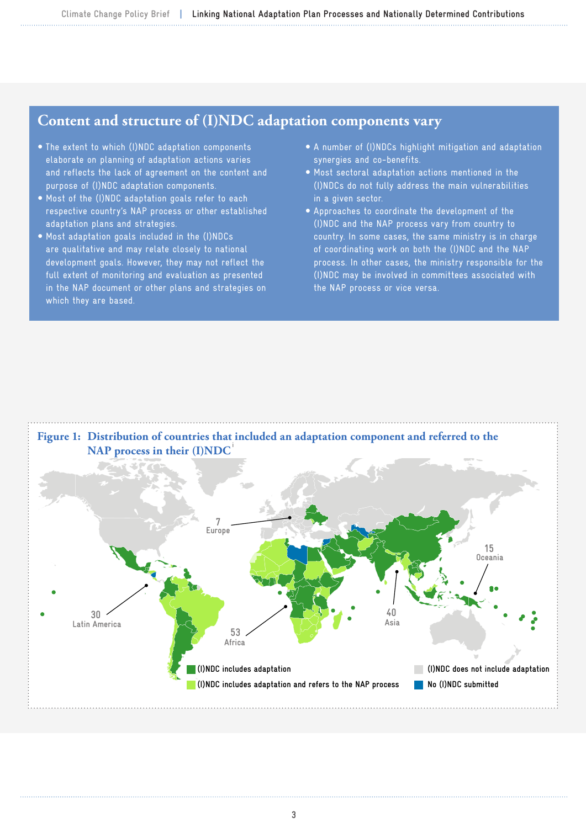## **Content and structure of (I)NDC adaptation components vary**

- The extent to which (I)NDC adaptation components elaborate on planning of adaptation actions varies and reflects the lack of agreement on the content and purpose of (I)NDC adaptation components.
- $\bullet$  Most of the (I)NDC adaptation goals refer to each respective country's NAP process or other established adaptation plans and strategies.
- Most adaptation goals included in the (I)NDCs are qualitative and may relate closely to national development goals. However, they may not reflect the full extent of monitoring and evaluation as presented in the NAP document or other plans and strategies on which they are based.
- y A number of (I)NDCs highlight mitigation and adaptation synergies and co-benefits.
- $\bullet$  Most sectoral adaptation actions mentioned in the (I)NDCs do not fully address the main vulnerabilities in a given sector.
- y Approaches to coordinate the development of the (I)NDC and the NAP process vary from country to country. In some cases, the same ministry is in charge of coordinating work on both the (I)NDC and the NAP process. In other cases, the ministry responsible for the (I)NDC may be involved in committees associated with the NAP process or vice versa.

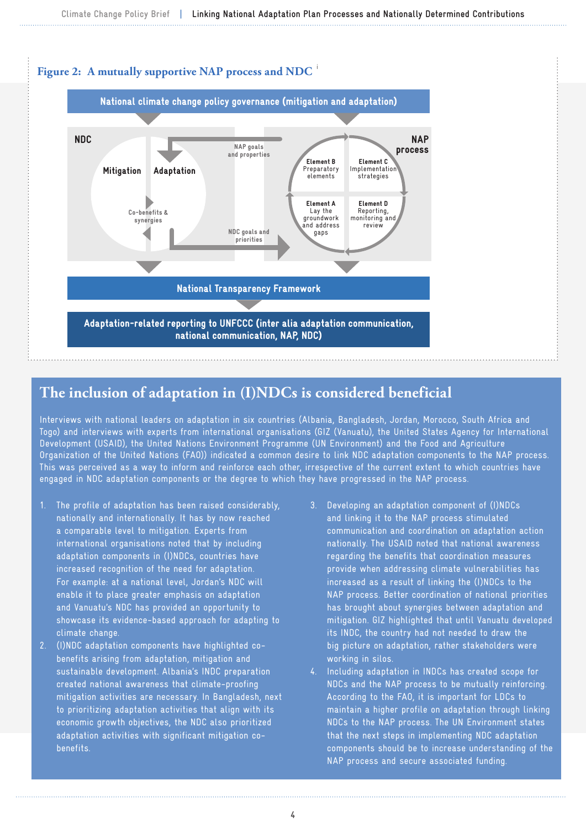

## **The inclusion of adaptation in (I)NDCs is considered beneficial**

Interviews with national leaders on adaptation in six countries (Albania, Bangladesh, Jordan, Morocco, South Africa and Togo) and interviews with experts from international organisations (GIZ (Vanuatu), the United States Agency for International Development (USAID), the United Nations Environment Programme (UN Environment) and the Food and Agriculture Organization of the United Nations (FAO)) indicated a common desire to link NDC adaptation components to the NAP process. This was perceived as a way to inform and reinforce each other, irrespective of the current extent to which countries have engaged in NDC adaptation components or the degree to which they have progressed in the NAP process.

- 1. The profile of adaptation has been raised considerably, nationally and internationally. It has by now reached a comparable level to mitigation. Experts from international organisations noted that by including adaptation components in (I)NDCs, countries have increased recognition of the need for adaptation. For example: at a national level, Jordan's NDC will enable it to place greater emphasis on adaptation and Vanuatu's NDC has provided an opportunity to showcase its evidence-based approach for adapting to climate change.
- 2. (I)NDC adaptation components have highlighted cobenefits arising from adaptation, mitigation and sustainable development. Albania's INDC preparation created national awareness that climate-proofing mitigation activities are necessary. In Bangladesh, next to prioritizing adaptation activities that align with its economic growth objectives, the NDC also prioritized adaptation activities with significant mitigation cobenefits.
- 3. Developing an adaptation component of (I)NDCs and linking it to the NAP process stimulated communication and coordination on adaptation action nationally. The USAID noted that national awareness regarding the benefits that coordination measures provide when addressing climate vulnerabilities has increased as a result of linking the (I)NDCs to the NAP process. Better coordination of national priorities has brought about synergies between adaptation and mitigation. GIZ highlighted that until Vanuatu developed its INDC, the country had not needed to draw the big picture on adaptation, rather stakeholders were working in silos.
- 4. Including adaptation in INDCs has created scope for NDCs and the NAP process to be mutually reinforcing. According to the FAO, it is important for LDCs to maintain a higher profile on adaptation through linking NDCs to the NAP process. The UN Environment states that the next steps in implementing NDC adaptation components should be to increase understanding of the NAP process and secure associated funding.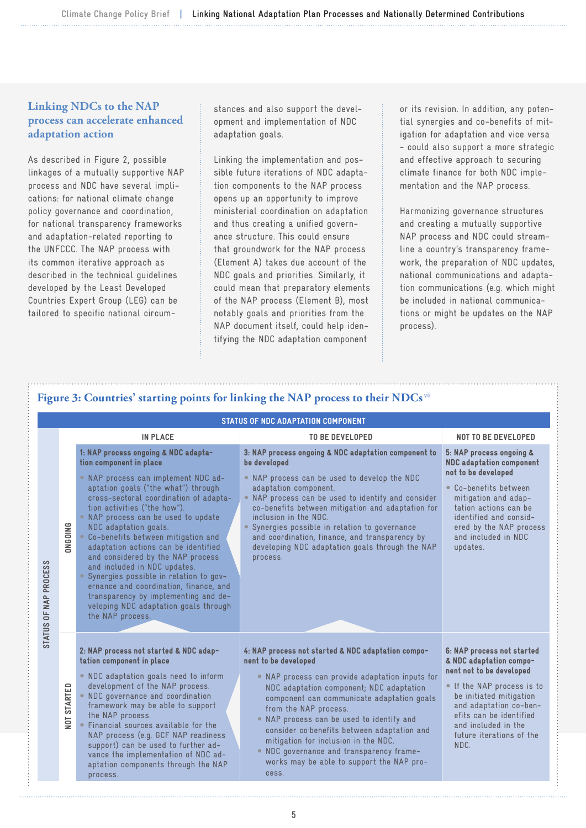## **Linking NDCs to the NAP process can accelerate enhanced adaptation action**

As described in Figure 2, possible linkages of a mutually supportive NAP process and NDC have several implications: for national climate change policy governance and coordination, for national transparency frameworks and adaptation-related reporting to the UNFCCC. The NAP process with its common iterative approach as described in the technical guidelines developed by the Least Developed Countries Expert Group (LEG) can be tailored to specific national circumstances and also support the development and implementation of NDC adaptation goals.

Linking the implementation and possible future iterations of NDC adaptation components to the NAP process opens up an opportunity to improve ministerial coordination on adaptation and thus creating a unified governance structure. This could ensure that groundwork for the NAP process (Element A) takes due account of the NDC goals and priorities. Similarly, it could mean that preparatory elements of the NAP process (Element B), most notably goals and priorities from the NAP document itself, could help identifying the NDC adaptation component

or its revision. In addition, any potential synergies and co-benefits of mitigation for adaptation and vice versa - could also support a more strategic and effective approach to securing climate finance for both NDC implementation and the NAP process.

Harmonizing governance structures and creating a mutually supportive NAP process and NDC could streamline a country's transparency framework, the preparation of NDC updates, national communications and adaptation communications (e.g. which might be included in national communications or might be updates on the NAP process).

|                                         |                                                                                                                                                                                                                                                                                                                                                                                                                                                                                                                                                                                                                                       | <b>STATUS OF NDC ADAPTATION COMPONENT</b>                                                                                                                                                                                                                                                                                                                                                                                                                                                          |                                                                                                                                                                                                                                                          |
|-----------------------------------------|---------------------------------------------------------------------------------------------------------------------------------------------------------------------------------------------------------------------------------------------------------------------------------------------------------------------------------------------------------------------------------------------------------------------------------------------------------------------------------------------------------------------------------------------------------------------------------------------------------------------------------------|----------------------------------------------------------------------------------------------------------------------------------------------------------------------------------------------------------------------------------------------------------------------------------------------------------------------------------------------------------------------------------------------------------------------------------------------------------------------------------------------------|----------------------------------------------------------------------------------------------------------------------------------------------------------------------------------------------------------------------------------------------------------|
|                                         | <b>IN PLACE</b>                                                                                                                                                                                                                                                                                                                                                                                                                                                                                                                                                                                                                       | <b>TO BE DEVELOPED</b>                                                                                                                                                                                                                                                                                                                                                                                                                                                                             | <b>NOT TO BE DEVELOPED</b>                                                                                                                                                                                                                               |
| <b>ONGOING</b><br>STATUS OF NAP PROCESS | 1: NAP process ongoing & NDC adapta-<br>tion component in place<br>. NAP process can implement NDC ad-<br>aptation goals ("the what") through<br>cross-sectoral coordination of adapta-<br>tion activities ("the how").<br>. NAP process can be used to update<br>NDC adaptation goals.<br>• Co-benefits between mitigation and<br>adaptation actions can be identified<br>and considered by the NAP process<br>and included in NDC updates.<br>Synergies possible in relation to gov-<br>ernance and coordination, finance, and<br>transparency by implementing and de-<br>veloping NDC adaptation goals through<br>the NAP process. | 3: NAP process ongoing & NDC adaptation component to<br>be developed<br>. NAP process can be used to develop the NDC<br>adaptation component.<br>• NAP process can be used to identify and consider<br>co-benefits between mitigation and adaptation for<br>inclusion in the NDC.<br>Synergies possible in relation to governance<br>and coordination, finance, and transparency by<br>developing NDC adaptation goals through the NAP<br>process.                                                 | 5: NAP process ongoing &<br><b>NDC</b> adaptation component<br>not to be developed<br>• Co-benefits between<br>mitigation and adap-<br>tation actions can be<br>identified and consid-<br>ered by the NAP process<br>and included in NDC<br>updates.     |
| <b>NOT STARTED</b>                      | 2: NAP process not started & NDC adap-<br>tation component in place<br>. NDC adaptation goals need to inform<br>development of the NAP process.<br>. NDC governance and coordination<br>framework may be able to support<br>the NAP process.<br>• Financial sources available for the<br>NAP process (e.g. GCF NAP readiness<br>support) can be used to further ad-<br>vance the implementation of NDC ad-<br>aptation components through the NAP<br>process.                                                                                                                                                                         | 4: NAP process not started & NDC adaptation compo-<br>nent to be developed<br>. NAP process can provide adaptation inputs for<br>NDC adaptation component; NDC adaptation<br>component can communicate adaptation goals<br>from the NAP process.<br>. NAP process can be used to identify and<br>consider co <sup>b</sup> enefits between adaptation and<br>mitigation for inclusion in the NDC.<br>. NDC governance and transparency frame-<br>works may be able to support the NAP pro-<br>cess. | 6: NAP process not started<br>& NDC adaptation compo-<br>nent not to be developed<br>If the NAP process is to<br>be initiated mitigation<br>and adaptation co-ben-<br>efits can be identified<br>and included in the<br>future iterations of the<br>NDC. |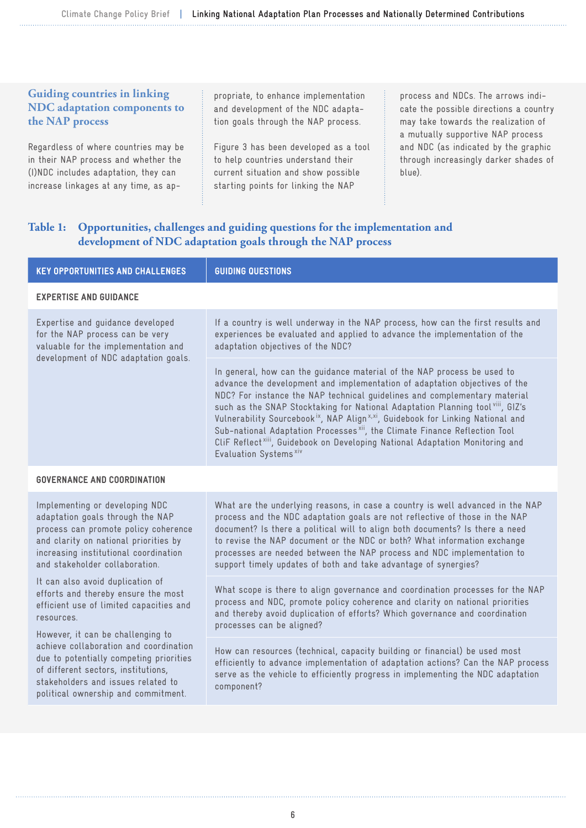#### **Guiding countries in linking NDC adaptation components to the NAP process**

Regardless of where countries may be in their NAP process and whether the (I)NDC includes adaptation, they can increase linkages at any time, as ap-

propriate, to enhance implementation and development of the NDC adaptation goals through the NAP process.

Figure 3 has been developed as a tool to help countries understand their current situation and show possible starting points for linking the NAP

process and NDCs. The arrows indicate the possible directions a country may take towards the realization of a mutually supportive NAP process and NDC (as indicated by the graphic through increasingly darker shades of blue).

### **Table 1: Opportunities, challenges and guiding questions for the implementation and development of NDC adaptation goals through the NAP process**

| <b>GUIDING QUESTIONS</b>                                                                                                                                                                                                                                                                                                                                                                                                                                                                                                                                                                                                                         |  |  |  |  |
|--------------------------------------------------------------------------------------------------------------------------------------------------------------------------------------------------------------------------------------------------------------------------------------------------------------------------------------------------------------------------------------------------------------------------------------------------------------------------------------------------------------------------------------------------------------------------------------------------------------------------------------------------|--|--|--|--|
| <b>EXPERTISE AND GUIDANCE</b>                                                                                                                                                                                                                                                                                                                                                                                                                                                                                                                                                                                                                    |  |  |  |  |
| If a country is well underway in the NAP process, how can the first results and<br>experiences be evaluated and applied to advance the implementation of the<br>adaptation objectives of the NDC?                                                                                                                                                                                                                                                                                                                                                                                                                                                |  |  |  |  |
| In general, how can the guidance material of the NAP process be used to<br>advance the development and implementation of adaptation objectives of the<br>NDC? For instance the NAP technical guidelines and complementary material<br>such as the SNAP Stocktaking for National Adaptation Planning tool viii, GIZ's<br>Vulnerability Sourcebook <sup>ix</sup> , NAP Align <sup>x,xi</sup> , Guidebook for Linking National and<br>Sub-national Adaptation Processes <sup>xii</sup> , the Climate Finance Reflection Tool<br>CliF Reflect <sup>xiii</sup> , Guidebook on Developing National Adaptation Monitoring and<br>Evaluation Systems xiv |  |  |  |  |
| <b>GOVERNANCE AND COORDINATION</b>                                                                                                                                                                                                                                                                                                                                                                                                                                                                                                                                                                                                               |  |  |  |  |
| What are the underlying reasons, in case a country is well advanced in the NAP<br>process and the NDC adaptation goals are not reflective of those in the NAP<br>document? Is there a political will to align both documents? Is there a need<br>to revise the NAP document or the NDC or both? What information exchange<br>processes are needed between the NAP process and NDC implementation to<br>support timely updates of both and take advantage of synergies?                                                                                                                                                                           |  |  |  |  |
| What scope is there to align governance and coordination processes for the NAP<br>process and NDC, promote policy coherence and clarity on national priorities<br>and thereby avoid duplication of efforts? Which governance and coordination<br>processes can be aligned?                                                                                                                                                                                                                                                                                                                                                                       |  |  |  |  |
| How can resources (technical, capacity building or financial) be used most<br>efficiently to advance implementation of adaptation actions? Can the NAP process<br>serve as the vehicle to efficiently progress in implementing the NDC adaptation<br>component?                                                                                                                                                                                                                                                                                                                                                                                  |  |  |  |  |
|                                                                                                                                                                                                                                                                                                                                                                                                                                                                                                                                                                                                                                                  |  |  |  |  |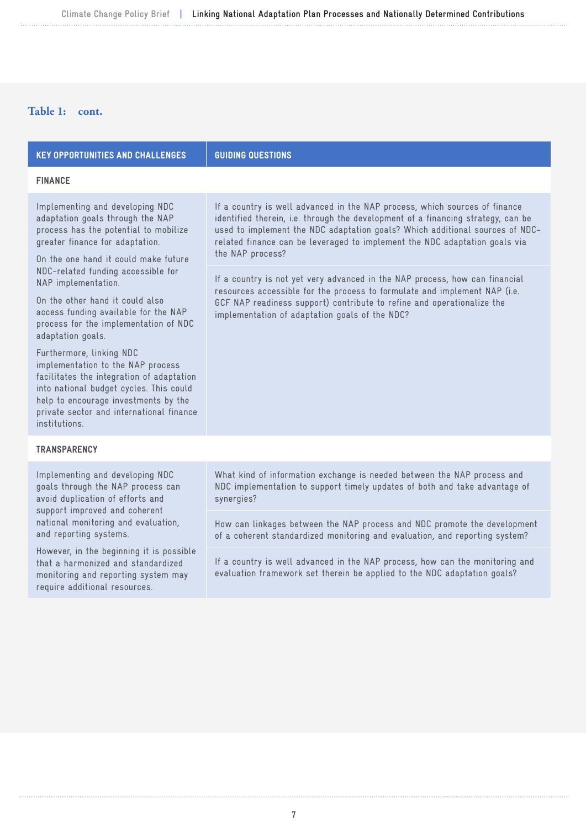## **Table 1: cont.**

| <b>KEY OPPORTUNITIES AND CHALLENGES</b>                                                                                                                                                                                                                                                                                                                                                       | <b>GUIDING QUESTIONS</b>                                                                                                                                                                                                                                                                                                                         |  |  |  |
|-----------------------------------------------------------------------------------------------------------------------------------------------------------------------------------------------------------------------------------------------------------------------------------------------------------------------------------------------------------------------------------------------|--------------------------------------------------------------------------------------------------------------------------------------------------------------------------------------------------------------------------------------------------------------------------------------------------------------------------------------------------|--|--|--|
| <b>FINANCE</b>                                                                                                                                                                                                                                                                                                                                                                                |                                                                                                                                                                                                                                                                                                                                                  |  |  |  |
| Implementing and developing NDC<br>adaptation goals through the NAP<br>process has the potential to mobilize<br>greater finance for adaptation.<br>On the one hand it could make future<br>NDC-related funding accessible for<br>NAP implementation.<br>On the other hand it could also<br>access funding available for the NAP<br>process for the implementation of NDC<br>adaptation goals. | If a country is well advanced in the NAP process, which sources of finance<br>identified therein, i.e. through the development of a financing strategy, can be<br>used to implement the NDC adaptation goals? Which additional sources of NDC-<br>related finance can be leveraged to implement the NDC adaptation goals via<br>the NAP process? |  |  |  |
|                                                                                                                                                                                                                                                                                                                                                                                               | If a country is not yet very advanced in the NAP process, how can financial<br>resources accessible for the process to formulate and implement NAP (i.e.<br>GCF NAP readiness support) contribute to refine and operationalize the<br>implementation of adaptation goals of the NDC?                                                             |  |  |  |
| Furthermore, linking NDC<br>implementation to the NAP process<br>facilitates the integration of adaptation<br>into national budget cycles. This could<br>help to encourage investments by the<br>private sector and international finance<br>institutions.                                                                                                                                    |                                                                                                                                                                                                                                                                                                                                                  |  |  |  |
| <b>TRANSPARENCY</b>                                                                                                                                                                                                                                                                                                                                                                           |                                                                                                                                                                                                                                                                                                                                                  |  |  |  |

Implementing and developing NDC goals through the NAP process can avoid duplication of efforts and support improved and coherent national monitoring and evaluation, and reporting systems.

However, in the beginning it is possible that a harmonized and standardized monitoring and reporting system may require additional resources.

What kind of information exchange is needed between the NAP process and NDC implementation to support timely updates of both and take advantage of synergies?

How can linkages between the NAP process and NDC promote the development of a coherent standardized monitoring and evaluation, and reporting system?

If a country is well advanced in the NAP process, how can the monitoring and evaluation framework set therein be applied to the NDC adaptation goals?